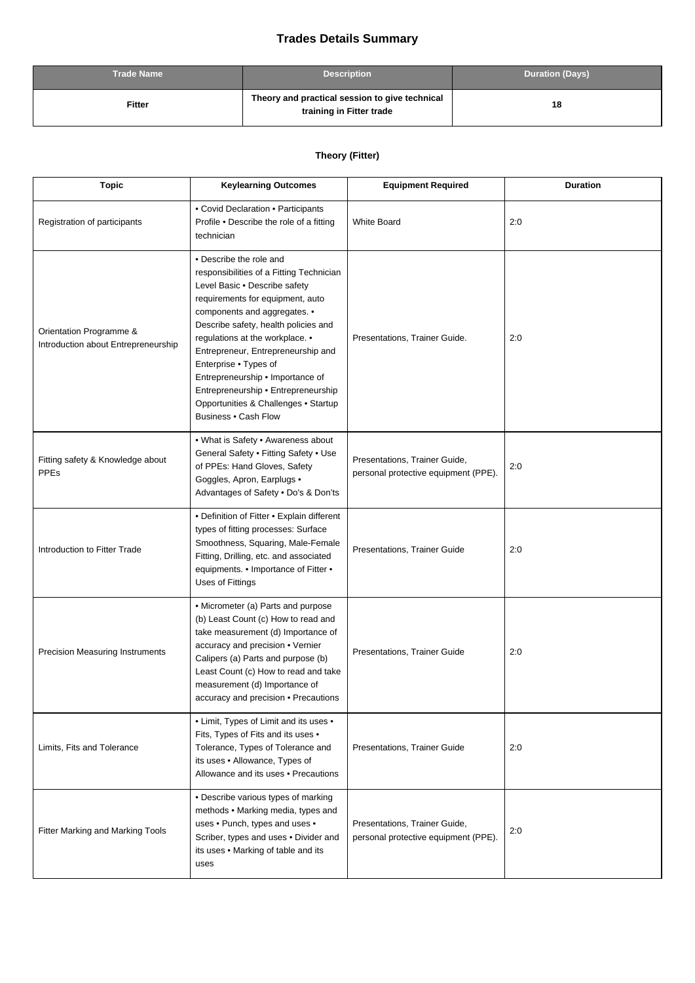# **Trades Details Summary**

| <b>Trade Name</b> | <b>Description</b>                                                         | <b>Duration (Days)</b> |
|-------------------|----------------------------------------------------------------------------|------------------------|
| <b>Fitter</b>     | Theory and practical session to give technical<br>training in Fitter trade | 18                     |

## **Theory (Fitter)**

| <b>Topic</b>                                                   | <b>Keylearning Outcomes</b>                                                                                                                                                                                                                                                                                                                                                                                                                                   | <b>Equipment Required</b>                                             | <b>Duration</b> |
|----------------------------------------------------------------|---------------------------------------------------------------------------------------------------------------------------------------------------------------------------------------------------------------------------------------------------------------------------------------------------------------------------------------------------------------------------------------------------------------------------------------------------------------|-----------------------------------------------------------------------|-----------------|
| Registration of participants                                   | • Covid Declaration • Participants<br>Profile • Describe the role of a fitting<br>technician                                                                                                                                                                                                                                                                                                                                                                  | <b>White Board</b>                                                    | 2:0             |
| Orientation Programme &<br>Introduction about Entrepreneurship | • Describe the role and<br>responsibilities of a Fitting Technician<br>Level Basic . Describe safety<br>requirements for equipment, auto<br>components and aggregates. •<br>Describe safety, health policies and<br>regulations at the workplace. •<br>Entrepreneur, Entrepreneurship and<br>Enterprise . Types of<br>Entrepreneurship . Importance of<br>Entrepreneurship • Entrepreneurship<br>Opportunities & Challenges . Startup<br>Business . Cash Flow | Presentations, Trainer Guide.                                         | 2:0             |
| Fitting safety & Knowledge about<br><b>PPEs</b>                | • What is Safety • Awareness about<br>General Safety . Fitting Safety . Use<br>of PPEs: Hand Gloves, Safety<br>Goggles, Apron, Earplugs .<br>Advantages of Safety . Do's & Don'ts                                                                                                                                                                                                                                                                             | Presentations, Trainer Guide,<br>personal protective equipment (PPE). | 2:0             |
| Introduction to Fitter Trade                                   | • Definition of Fitter • Explain different<br>types of fitting processes: Surface<br>Smoothness, Squaring, Male-Female<br>Fitting, Drilling, etc. and associated<br>equipments. • Importance of Fitter •<br>Uses of Fittings                                                                                                                                                                                                                                  | Presentations, Trainer Guide                                          | 2:0             |
| Precision Measuring Instruments                                | • Micrometer (a) Parts and purpose<br>(b) Least Count (c) How to read and<br>take measurement (d) Importance of<br>accuracy and precision . Vernier<br>Calipers (a) Parts and purpose (b)<br>Least Count (c) How to read and take<br>measurement (d) Importance of<br>accuracy and precision . Precautions                                                                                                                                                    | Presentations, Trainer Guide                                          | 2:0             |
| Limits, Fits and Tolerance                                     | • Limit, Types of Limit and its uses •<br>Fits, Types of Fits and its uses .<br>Tolerance, Types of Tolerance and<br>its uses . Allowance, Types of<br>Allowance and its uses • Precautions                                                                                                                                                                                                                                                                   | Presentations, Trainer Guide                                          | 2:0             |
| Fitter Marking and Marking Tools                               | • Describe various types of marking<br>methods • Marking media, types and<br>uses . Punch, types and uses .<br>Scriber, types and uses . Divider and<br>its uses . Marking of table and its<br>uses                                                                                                                                                                                                                                                           | Presentations, Trainer Guide,<br>personal protective equipment (PPE). | 2:0             |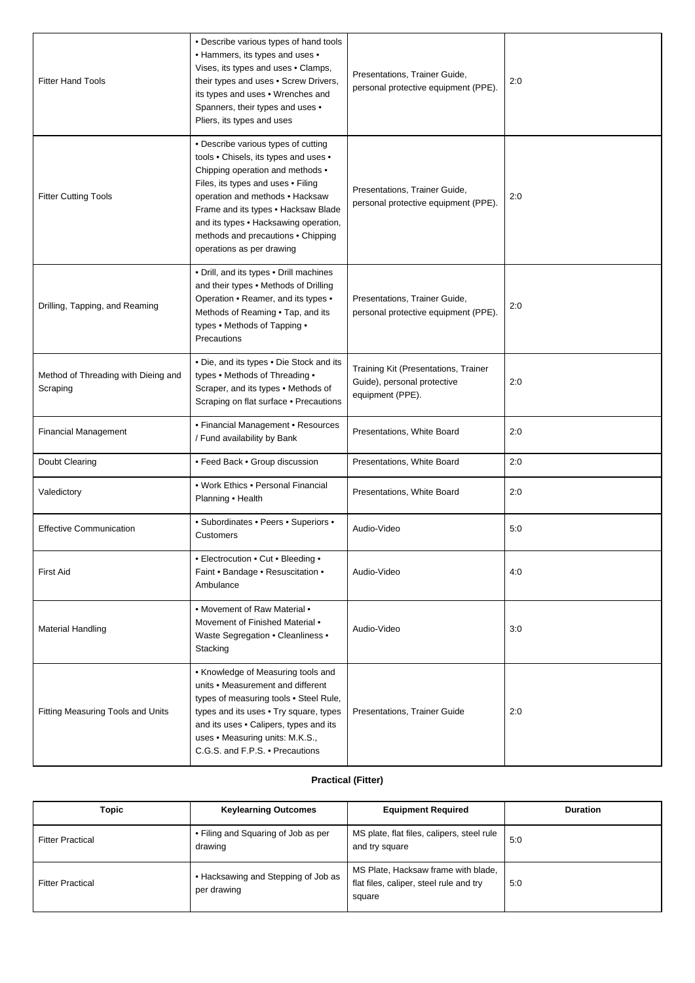| <b>Fitter Hand Tools</b>                        | • Describe various types of hand tools<br>• Hammers, its types and uses •<br>Vises, its types and uses . Clamps,<br>their types and uses . Screw Drivers,<br>its types and uses . Wrenches and<br>Spanners, their types and uses .<br>Pliers, its types and uses                                                                             | Presentations, Trainer Guide,<br>personal protective equipment (PPE).                   | 2:0 |
|-------------------------------------------------|----------------------------------------------------------------------------------------------------------------------------------------------------------------------------------------------------------------------------------------------------------------------------------------------------------------------------------------------|-----------------------------------------------------------------------------------------|-----|
| <b>Fitter Cutting Tools</b>                     | • Describe various types of cutting<br>tools . Chisels, its types and uses .<br>Chipping operation and methods .<br>Files, its types and uses . Filing<br>operation and methods . Hacksaw<br>Frame and its types . Hacksaw Blade<br>and its types . Hacksawing operation,<br>methods and precautions . Chipping<br>operations as per drawing | Presentations, Trainer Guide,<br>personal protective equipment (PPE).                   | 2:0 |
| Drilling, Tapping, and Reaming                  | • Drill, and its types • Drill machines<br>and their types . Methods of Drilling<br>Operation • Reamer, and its types •<br>Methods of Reaming . Tap, and its<br>types • Methods of Tapping •<br>Precautions                                                                                                                                  | Presentations, Trainer Guide,<br>personal protective equipment (PPE).                   | 2:0 |
| Method of Threading with Dieing and<br>Scraping | . Die, and its types . Die Stock and its<br>types . Methods of Threading .<br>Scraper, and its types . Methods of<br>Scraping on flat surface . Precautions                                                                                                                                                                                  | Training Kit (Presentations, Trainer<br>Guide), personal protective<br>equipment (PPE). | 2:0 |
| <b>Financial Management</b>                     | • Financial Management • Resources<br>/ Fund availability by Bank                                                                                                                                                                                                                                                                            | Presentations, White Board                                                              | 2:0 |
| Doubt Clearing                                  | • Feed Back • Group discussion                                                                                                                                                                                                                                                                                                               | Presentations, White Board                                                              | 2:0 |
| Valedictory                                     | • Work Ethics • Personal Financial<br>Planning • Health                                                                                                                                                                                                                                                                                      | Presentations, White Board                                                              | 2:0 |
| <b>Effective Communication</b>                  | • Subordinates • Peers • Superiors •<br>Customers                                                                                                                                                                                                                                                                                            | Audio-Video                                                                             | 5:0 |
| <b>First Aid</b>                                | • Electrocution • Cut • Bleeding •<br>Faint . Bandage . Resuscitation .<br>Ambulance                                                                                                                                                                                                                                                         | Audio-Video                                                                             | 4:0 |
| <b>Material Handling</b>                        | • Movement of Raw Material •<br>Movement of Finished Material •<br>Waste Segregation . Cleanliness .<br>Stacking                                                                                                                                                                                                                             | Audio-Video                                                                             | 3:0 |
| Fitting Measuring Tools and Units               | • Knowledge of Measuring tools and<br>units • Measurement and different<br>types of measuring tools . Steel Rule,<br>types and its uses . Try square, types<br>and its uses . Calipers, types and its<br>uses . Measuring units: M.K.S.,<br>C.G.S. and F.P.S. • Precautions                                                                  | Presentations, Trainer Guide                                                            | 2:0 |

#### **Practical (Fitter)**

| Topic                   | <b>Keylearning Outcomes</b>                        | <b>Equipment Required</b>                                                                | <b>Duration</b> |
|-------------------------|----------------------------------------------------|------------------------------------------------------------------------------------------|-----------------|
| <b>Fitter Practical</b> | • Filing and Squaring of Job as per<br>drawing     | MS plate, flat files, calipers, steel rule<br>and try square                             | 5:0             |
| <b>Fitter Practical</b> | • Hacksawing and Stepping of Job as<br>per drawing | MS Plate, Hacksaw frame with blade,<br>flat files, caliper, steel rule and try<br>square | 5:0             |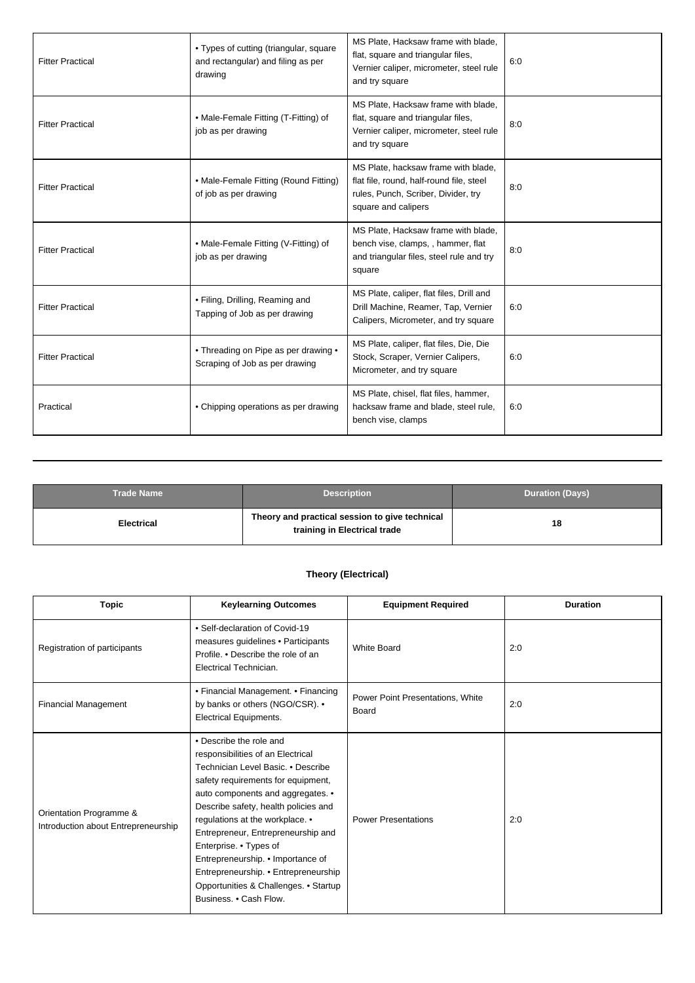| <b>Fitter Practical</b> | • Types of cutting (triangular, square<br>and rectangular) and filing as per<br>drawing | MS Plate, Hacksaw frame with blade,<br>flat, square and triangular files,<br>Vernier caliper, micrometer, steel rule<br>and try square        | 6:0 |
|-------------------------|-----------------------------------------------------------------------------------------|-----------------------------------------------------------------------------------------------------------------------------------------------|-----|
| <b>Fitter Practical</b> | • Male-Female Fitting (T-Fitting) of<br>job as per drawing                              | MS Plate, Hacksaw frame with blade,<br>flat, square and triangular files,<br>Vernier caliper, micrometer, steel rule<br>and try square        | 8:0 |
| <b>Fitter Practical</b> | • Male-Female Fitting (Round Fitting)<br>of job as per drawing                          | MS Plate, hacksaw frame with blade.<br>flat file, round, half-round file, steel<br>rules, Punch, Scriber, Divider, try<br>square and calipers | 8:0 |
| <b>Fitter Practical</b> | • Male-Female Fitting (V-Fitting) of<br>job as per drawing                              | MS Plate. Hacksaw frame with blade.<br>bench vise, clamps, , hammer, flat<br>and triangular files, steel rule and try<br>square               | 8:0 |
| <b>Fitter Practical</b> | • Filing, Drilling, Reaming and<br>Tapping of Job as per drawing                        | MS Plate, caliper, flat files, Drill and<br>Drill Machine, Reamer, Tap, Vernier<br>Calipers, Micrometer, and try square                       | 6:0 |
| <b>Fitter Practical</b> | • Threading on Pipe as per drawing •<br>Scraping of Job as per drawing                  | MS Plate, caliper, flat files, Die, Die<br>Stock, Scraper, Vernier Calipers,<br>Micrometer, and try square                                    | 6:0 |
| Practical               | • Chipping operations as per drawing                                                    | MS Plate, chisel, flat files, hammer,<br>hacksaw frame and blade, steel rule,<br>bench vise, clamps                                           | 6:0 |

| <b>Trade Name</b> | <b>Description</b>                                                             | <b>Duration (Days)</b> |
|-------------------|--------------------------------------------------------------------------------|------------------------|
| <b>Electrical</b> | Theory and practical session to give technical<br>training in Electrical trade | 18                     |

## **Theory (Electrical)**

| <b>Topic</b>                                                   | <b>Keylearning Outcomes</b>                                                                                                                                                                                                                                                                                                                                                                                                                                              | <b>Equipment Required</b>                 | <b>Duration</b> |
|----------------------------------------------------------------|--------------------------------------------------------------------------------------------------------------------------------------------------------------------------------------------------------------------------------------------------------------------------------------------------------------------------------------------------------------------------------------------------------------------------------------------------------------------------|-------------------------------------------|-----------------|
| Registration of participants                                   | · Self-declaration of Covid-19<br>measures guidelines • Participants<br>Profile. • Describe the role of an<br>Electrical Technician.                                                                                                                                                                                                                                                                                                                                     | White Board                               | 2:0             |
| <b>Financial Management</b>                                    | • Financial Management. • Financing<br>by banks or others (NGO/CSR). •<br>Electrical Equipments.                                                                                                                                                                                                                                                                                                                                                                         | Power Point Presentations, White<br>Board | 2:0             |
| Orientation Programme &<br>Introduction about Entrepreneurship | • Describe the role and<br>responsibilities of an Electrical<br>Technician Level Basic. • Describe<br>safety requirements for equipment,<br>auto components and aggregates. •<br>Describe safety, health policies and<br>regulations at the workplace. •<br>Entrepreneur, Entrepreneurship and<br>Enterprise. • Types of<br>Entrepreneurship. • Importance of<br>Entrepreneurship. • Entrepreneurship<br>Opportunities & Challenges. • Startup<br>Business. • Cash Flow. | <b>Power Presentations</b>                | 2:0             |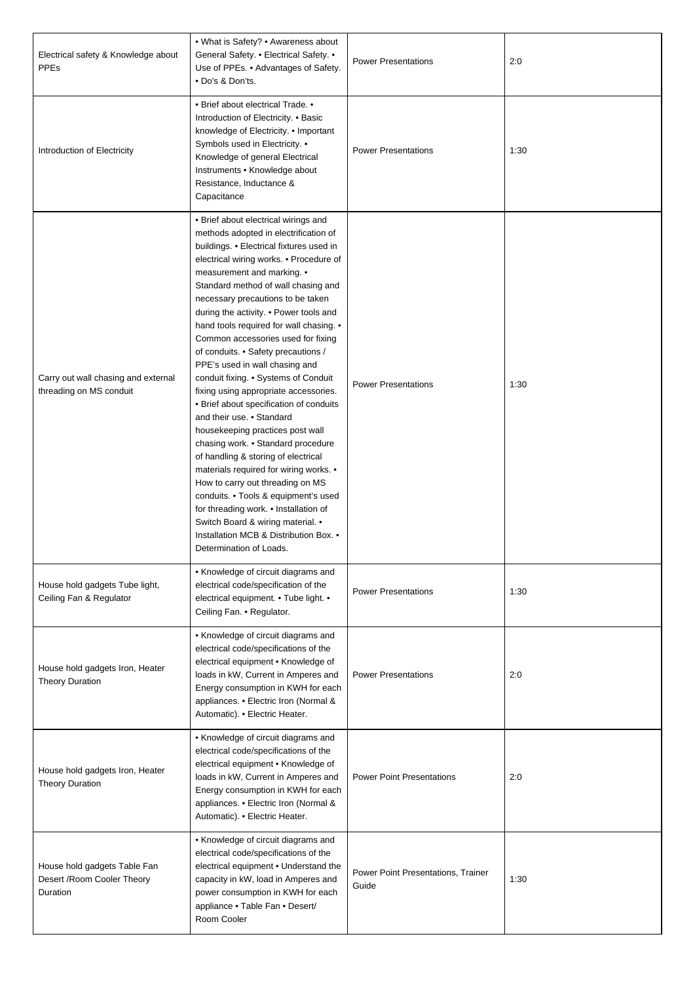| Electrical safety & Knowledge about<br><b>PPEs</b>                      | • What is Safety? • Awareness about<br>General Safety. . Electrical Safety. .<br>Use of PPEs. • Advantages of Safety.<br>• Do's & Don'ts.                                                                                                                                                                                                                                                                                                                                                                                                                                                                                                                                                                                                                                                                                                                                                                                                                                                                                             | <b>Power Presentations</b>                  | 2:0  |
|-------------------------------------------------------------------------|---------------------------------------------------------------------------------------------------------------------------------------------------------------------------------------------------------------------------------------------------------------------------------------------------------------------------------------------------------------------------------------------------------------------------------------------------------------------------------------------------------------------------------------------------------------------------------------------------------------------------------------------------------------------------------------------------------------------------------------------------------------------------------------------------------------------------------------------------------------------------------------------------------------------------------------------------------------------------------------------------------------------------------------|---------------------------------------------|------|
| Introduction of Electricity                                             | • Brief about electrical Trade. •<br>Introduction of Electricity. . Basic<br>knowledge of Electricity. • Important<br>Symbols used in Electricity. •<br>Knowledge of general Electrical<br>Instruments . Knowledge about<br>Resistance, Inductance &<br>Capacitance                                                                                                                                                                                                                                                                                                                                                                                                                                                                                                                                                                                                                                                                                                                                                                   | <b>Power Presentations</b>                  | 1:30 |
| Carry out wall chasing and external<br>threading on MS conduit          | • Brief about electrical wirings and<br>methods adopted in electrification of<br>buildings. • Electrical fixtures used in<br>electrical wiring works. • Procedure of<br>measurement and marking. •<br>Standard method of wall chasing and<br>necessary precautions to be taken<br>during the activity. • Power tools and<br>hand tools required for wall chasing. •<br>Common accessories used for fixing<br>of conduits. • Safety precautions /<br>PPE's used in wall chasing and<br>conduit fixing. • Systems of Conduit<br>fixing using appropriate accessories.<br>• Brief about specification of conduits<br>and their use. • Standard<br>housekeeping practices post wall<br>chasing work. • Standard procedure<br>of handling & storing of electrical<br>materials required for wiring works. •<br>How to carry out threading on MS<br>conduits. • Tools & equipment's used<br>for threading work. • Installation of<br>Switch Board & wiring material. •<br>Installation MCB & Distribution Box. •<br>Determination of Loads. | <b>Power Presentations</b>                  | 1:30 |
| House hold gadgets Tube light,<br>Ceiling Fan & Regulator               | • Knowledge of circuit diagrams and<br>electrical code/specification of the<br>electrical equipment. • Tube light. •<br>Ceiling Fan. • Regulator.                                                                                                                                                                                                                                                                                                                                                                                                                                                                                                                                                                                                                                                                                                                                                                                                                                                                                     | <b>Power Presentations</b>                  | 1:30 |
| House hold gadgets Iron, Heater<br><b>Theory Duration</b>               | • Knowledge of circuit diagrams and<br>electrical code/specifications of the<br>electrical equipment . Knowledge of<br>loads in kW, Current in Amperes and<br>Energy consumption in KWH for each<br>appliances. • Electric Iron (Normal &<br>Automatic). • Electric Heater.                                                                                                                                                                                                                                                                                                                                                                                                                                                                                                                                                                                                                                                                                                                                                           | <b>Power Presentations</b>                  | 2:0  |
| House hold gadgets Iron, Heater<br><b>Theory Duration</b>               | • Knowledge of circuit diagrams and<br>electrical code/specifications of the<br>electrical equipment . Knowledge of<br>loads in kW, Current in Amperes and<br>Energy consumption in KWH for each<br>appliances. • Electric Iron (Normal &<br>Automatic). • Electric Heater.                                                                                                                                                                                                                                                                                                                                                                                                                                                                                                                                                                                                                                                                                                                                                           | <b>Power Point Presentations</b>            | 2:0  |
| House hold gadgets Table Fan<br>Desert / Room Cooler Theory<br>Duration | • Knowledge of circuit diagrams and<br>electrical code/specifications of the<br>electrical equipment . Understand the<br>capacity in kW, load in Amperes and<br>power consumption in KWH for each<br>appliance . Table Fan . Desert/<br>Room Cooler                                                                                                                                                                                                                                                                                                                                                                                                                                                                                                                                                                                                                                                                                                                                                                                   | Power Point Presentations, Trainer<br>Guide | 1:30 |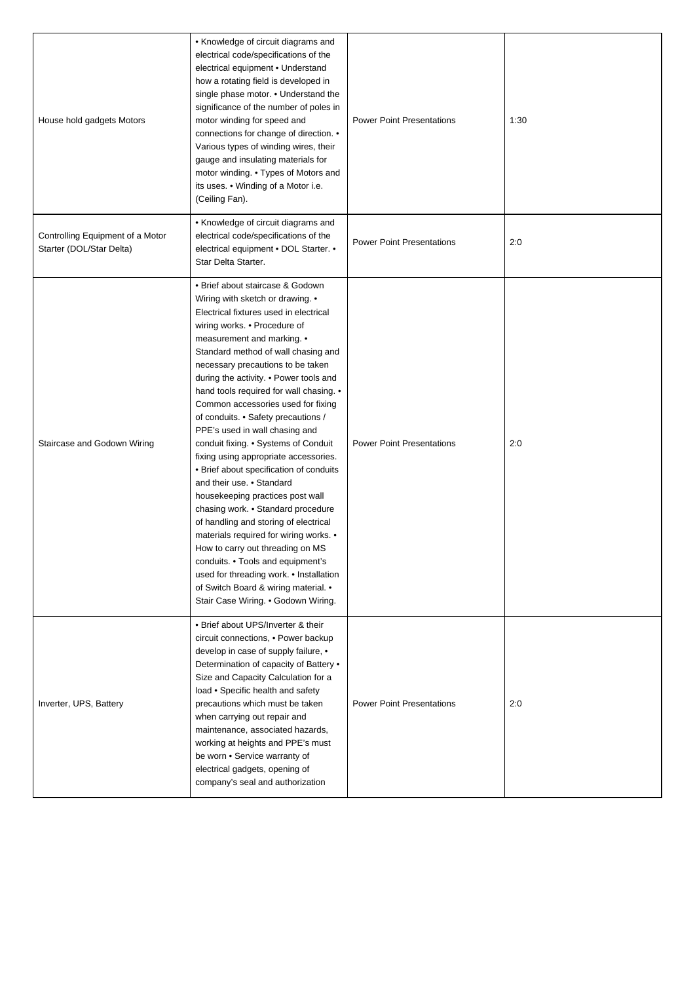| House hold gadgets Motors                                    | • Knowledge of circuit diagrams and<br>electrical code/specifications of the<br>electrical equipment . Understand<br>how a rotating field is developed in<br>single phase motor. • Understand the<br>significance of the number of poles in<br>motor winding for speed and<br>connections for change of direction. •<br>Various types of winding wires, their<br>gauge and insulating materials for<br>motor winding. • Types of Motors and<br>its uses. • Winding of a Motor i.e.<br>(Ceiling Fan).                                                                                                                                                                                                                                                                                                                                                                                                                                                                                  | <b>Power Point Presentations</b> | 1:30 |
|--------------------------------------------------------------|---------------------------------------------------------------------------------------------------------------------------------------------------------------------------------------------------------------------------------------------------------------------------------------------------------------------------------------------------------------------------------------------------------------------------------------------------------------------------------------------------------------------------------------------------------------------------------------------------------------------------------------------------------------------------------------------------------------------------------------------------------------------------------------------------------------------------------------------------------------------------------------------------------------------------------------------------------------------------------------|----------------------------------|------|
| Controlling Equipment of a Motor<br>Starter (DOL/Star Delta) | • Knowledge of circuit diagrams and<br>electrical code/specifications of the<br>electrical equipment . DOL Starter. .<br>Star Delta Starter.                                                                                                                                                                                                                                                                                                                                                                                                                                                                                                                                                                                                                                                                                                                                                                                                                                          | <b>Power Point Presentations</b> | 2:0  |
| Staircase and Godown Wiring                                  | • Brief about staircase & Godown<br>Wiring with sketch or drawing. •<br>Electrical fixtures used in electrical<br>wiring works. . Procedure of<br>measurement and marking. •<br>Standard method of wall chasing and<br>necessary precautions to be taken<br>during the activity. . Power tools and<br>hand tools required for wall chasing. •<br>Common accessories used for fixing<br>of conduits. • Safety precautions /<br>PPE's used in wall chasing and<br>conduit fixing. • Systems of Conduit<br>fixing using appropriate accessories.<br>· Brief about specification of conduits<br>and their use. • Standard<br>housekeeping practices post wall<br>chasing work. • Standard procedure<br>of handling and storing of electrical<br>materials required for wiring works. •<br>How to carry out threading on MS<br>conduits. • Tools and equipment's<br>used for threading work. • Installation<br>of Switch Board & wiring material. •<br>Stair Case Wiring. . Godown Wiring. | <b>Power Point Presentations</b> | 2:0  |
| Inverter, UPS, Battery                                       | • Brief about UPS/Inverter & their<br>circuit connections, • Power backup<br>develop in case of supply failure, •<br>Determination of capacity of Battery •<br>Size and Capacity Calculation for a<br>load . Specific health and safety<br>precautions which must be taken<br>when carrying out repair and<br>maintenance, associated hazards,<br>working at heights and PPE's must<br>be worn . Service warranty of<br>electrical gadgets, opening of<br>company's seal and authorization                                                                                                                                                                                                                                                                                                                                                                                                                                                                                            | <b>Power Point Presentations</b> | 2:0  |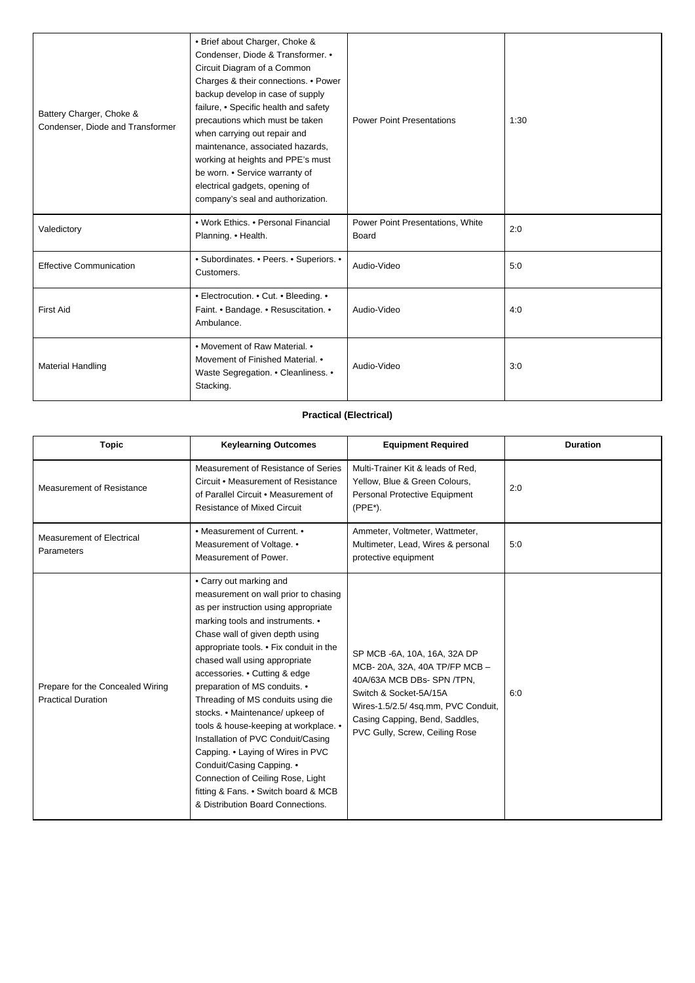| Battery Charger, Choke &<br>Condenser, Diode and Transformer | • Brief about Charger, Choke &<br>Condenser, Diode & Transformer. •<br>Circuit Diagram of a Common<br>Charges & their connections. • Power<br>backup develop in case of supply<br>failure, • Specific health and safety<br>precautions which must be taken<br>when carrying out repair and<br>maintenance, associated hazards,<br>working at heights and PPE's must<br>be worn. • Service warranty of<br>electrical gadgets, opening of<br>company's seal and authorization. | <b>Power Point Presentations</b>          | 1:30 |
|--------------------------------------------------------------|------------------------------------------------------------------------------------------------------------------------------------------------------------------------------------------------------------------------------------------------------------------------------------------------------------------------------------------------------------------------------------------------------------------------------------------------------------------------------|-------------------------------------------|------|
| Valedictory                                                  | • Work Ethics. • Personal Financial<br>Planning. • Health.                                                                                                                                                                                                                                                                                                                                                                                                                   | Power Point Presentations, White<br>Board | 2:0  |
| <b>Effective Communication</b>                               | · Subordinates. • Peers. • Superiors. •<br>Customers.                                                                                                                                                                                                                                                                                                                                                                                                                        | Audio-Video                               | 5:0  |
| <b>First Aid</b>                                             | • Electrocution. • Cut. • Bleeding. •<br>Faint. • Bandage. • Resuscitation. •<br>Ambulance.                                                                                                                                                                                                                                                                                                                                                                                  | Audio-Video                               | 4:0  |
| <b>Material Handling</b>                                     | • Movement of Raw Material. •<br>Movement of Finished Material. •<br>Waste Segregation. • Cleanliness. •<br>Stacking.                                                                                                                                                                                                                                                                                                                                                        | Audio-Video                               | 3:0  |

### **Practical (Electrical)**

| <b>Topic</b>                                                  | <b>Keylearning Outcomes</b>                                                                                                                                                                                                                                                                                                                                                                                                                                                                                                                                                                                                                                               | <b>Equipment Required</b>                                                                                                                                                                                                       | <b>Duration</b> |
|---------------------------------------------------------------|---------------------------------------------------------------------------------------------------------------------------------------------------------------------------------------------------------------------------------------------------------------------------------------------------------------------------------------------------------------------------------------------------------------------------------------------------------------------------------------------------------------------------------------------------------------------------------------------------------------------------------------------------------------------------|---------------------------------------------------------------------------------------------------------------------------------------------------------------------------------------------------------------------------------|-----------------|
| <b>Measurement of Resistance</b>                              | Measurement of Resistance of Series<br>Circuit • Measurement of Resistance<br>of Parallel Circuit • Measurement of<br><b>Resistance of Mixed Circuit</b>                                                                                                                                                                                                                                                                                                                                                                                                                                                                                                                  | Multi-Trainer Kit & leads of Red.<br>Yellow, Blue & Green Colours,<br>Personal Protective Equipment<br>$(PPE*)$ .                                                                                                               | 2:0             |
| <b>Measurement of Electrical</b><br>Parameters                | • Measurement of Current. •<br>Measurement of Voltage. •<br>Measurement of Power.                                                                                                                                                                                                                                                                                                                                                                                                                                                                                                                                                                                         | Ammeter, Voltmeter, Wattmeter,<br>Multimeter, Lead, Wires & personal<br>protective equipment                                                                                                                                    | 5:0             |
| Prepare for the Concealed Wiring<br><b>Practical Duration</b> | • Carry out marking and<br>measurement on wall prior to chasing<br>as per instruction using appropriate<br>marking tools and instruments. •<br>Chase wall of given depth using<br>appropriate tools. • Fix conduit in the<br>chased wall using appropriate<br>accessories. • Cutting & edge<br>preparation of MS conduits. •<br>Threading of MS conduits using die<br>stocks. • Maintenance/ upkeep of<br>tools & house-keeping at workplace. •<br>Installation of PVC Conduit/Casing<br>Capping. • Laying of Wires in PVC<br>Conduit/Casing Capping. •<br>Connection of Ceiling Rose, Light<br>fitting & Fans. • Switch board & MCB<br>& Distribution Board Connections. | SP MCB -6A, 10A, 16A, 32A DP<br>MCB-20A, 32A, 40A TP/FP MCB-<br>40A/63A MCB DBs- SPN /TPN.<br>Switch & Socket-5A/15A<br>Wires-1.5/2.5/ 4sq.mm, PVC Conduit,<br>Casing Capping, Bend, Saddles,<br>PVC Gully, Screw, Ceiling Rose | 6:0             |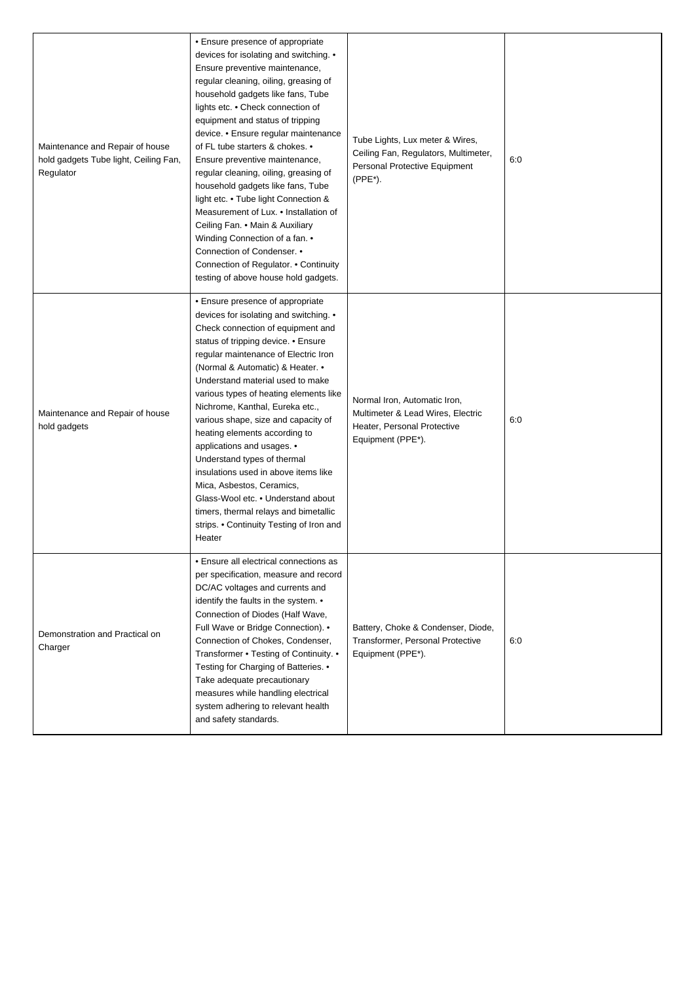| Maintenance and Repair of house<br>hold gadgets Tube light, Ceiling Fan,<br>Regulator | • Ensure presence of appropriate<br>devices for isolating and switching. •<br>Ensure preventive maintenance,<br>regular cleaning, oiling, greasing of<br>household gadgets like fans, Tube<br>lights etc. • Check connection of<br>equipment and status of tripping<br>device. • Ensure regular maintenance<br>of FL tube starters & chokes. •<br>Ensure preventive maintenance,<br>regular cleaning, oiling, greasing of<br>household gadgets like fans, Tube<br>light etc. • Tube light Connection &<br>Measurement of Lux. • Installation of<br>Ceiling Fan. • Main & Auxiliary<br>Winding Connection of a fan. •<br>Connection of Condenser. •<br>Connection of Regulator. . Continuity<br>testing of above house hold gadgets. | Tube Lights, Lux meter & Wires,<br>Ceiling Fan, Regulators, Multimeter,<br>Personal Protective Equipment<br>(PPE*).   | 6:0 |
|---------------------------------------------------------------------------------------|-------------------------------------------------------------------------------------------------------------------------------------------------------------------------------------------------------------------------------------------------------------------------------------------------------------------------------------------------------------------------------------------------------------------------------------------------------------------------------------------------------------------------------------------------------------------------------------------------------------------------------------------------------------------------------------------------------------------------------------|-----------------------------------------------------------------------------------------------------------------------|-----|
| Maintenance and Repair of house<br>hold gadgets                                       | • Ensure presence of appropriate<br>devices for isolating and switching. •<br>Check connection of equipment and<br>status of tripping device. • Ensure<br>regular maintenance of Electric Iron<br>(Normal & Automatic) & Heater. •<br>Understand material used to make<br>various types of heating elements like<br>Nichrome, Kanthal, Eureka etc.,<br>various shape, size and capacity of<br>heating elements according to<br>applications and usages. •<br>Understand types of thermal<br>insulations used in above items like<br>Mica, Asbestos, Ceramics,<br>Glass-Wool etc. • Understand about<br>timers, thermal relays and bimetallic<br>strips. • Continuity Testing of Iron and<br>Heater                                  | Normal Iron, Automatic Iron,<br>Multimeter & Lead Wires, Electric<br>Heater, Personal Protective<br>Equipment (PPE*). | 6:0 |
| Demonstration and Practical on<br>Charger                                             | • Ensure all electrical connections as<br>per specification, measure and record<br>DC/AC voltages and currents and<br>identify the faults in the system. •<br>Connection of Diodes (Half Wave,<br>Full Wave or Bridge Connection). .<br>Connection of Chokes, Condenser,<br>Transformer . Testing of Continuity. .<br>Testing for Charging of Batteries. •<br>Take adequate precautionary<br>measures while handling electrical<br>system adhering to relevant health<br>and safety standards.                                                                                                                                                                                                                                      | Battery, Choke & Condenser, Diode,<br>Transformer, Personal Protective<br>Equipment (PPE*).                           | 6:0 |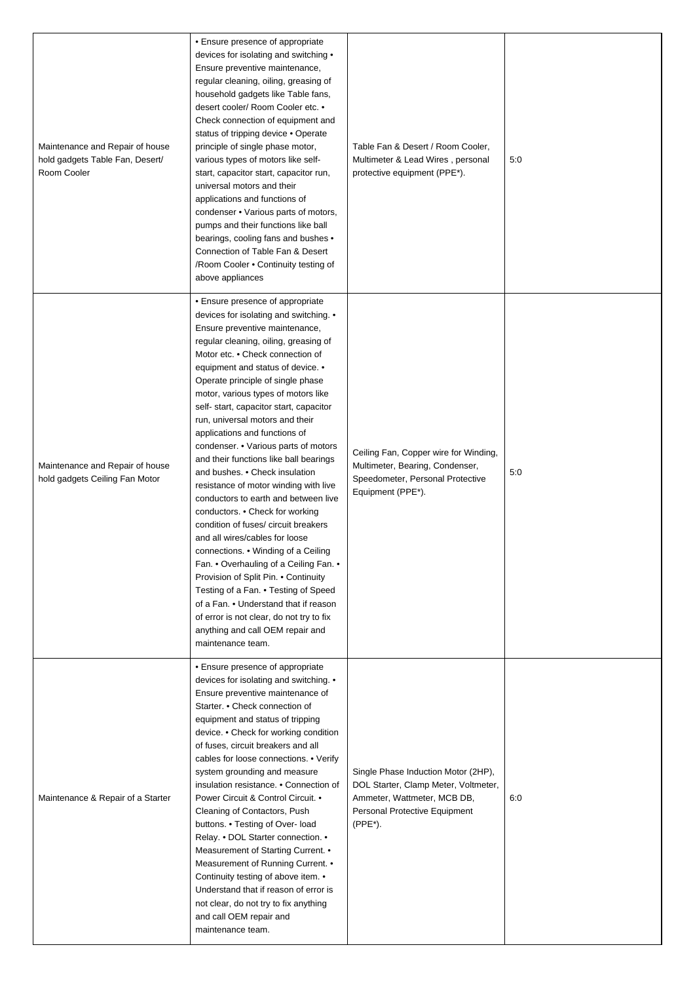| Maintenance and Repair of house<br>hold gadgets Table Fan, Desert/<br>Room Cooler | • Ensure presence of appropriate<br>devices for isolating and switching •<br>Ensure preventive maintenance,<br>regular cleaning, oiling, greasing of<br>household gadgets like Table fans,<br>desert cooler/ Room Cooler etc. •<br>Check connection of equipment and<br>status of tripping device • Operate<br>principle of single phase motor,<br>various types of motors like self-<br>start, capacitor start, capacitor run,<br>universal motors and their<br>applications and functions of<br>condenser • Various parts of motors,<br>pumps and their functions like ball<br>bearings, cooling fans and bushes •<br>Connection of Table Fan & Desert<br>/Room Cooler . Continuity testing of<br>above appliances                                                                                                                                                                                                                                                                                                                                       | Table Fan & Desert / Room Cooler,<br>Multimeter & Lead Wires, personal<br>protective equipment (PPE*).                                                    | 5:0 |
|-----------------------------------------------------------------------------------|------------------------------------------------------------------------------------------------------------------------------------------------------------------------------------------------------------------------------------------------------------------------------------------------------------------------------------------------------------------------------------------------------------------------------------------------------------------------------------------------------------------------------------------------------------------------------------------------------------------------------------------------------------------------------------------------------------------------------------------------------------------------------------------------------------------------------------------------------------------------------------------------------------------------------------------------------------------------------------------------------------------------------------------------------------|-----------------------------------------------------------------------------------------------------------------------------------------------------------|-----|
| Maintenance and Repair of house<br>hold gadgets Ceiling Fan Motor                 | • Ensure presence of appropriate<br>devices for isolating and switching. •<br>Ensure preventive maintenance,<br>regular cleaning, oiling, greasing of<br>Motor etc. • Check connection of<br>equipment and status of device. •<br>Operate principle of single phase<br>motor, various types of motors like<br>self- start, capacitor start, capacitor<br>run, universal motors and their<br>applications and functions of<br>condenser. • Various parts of motors<br>and their functions like ball bearings<br>and bushes. • Check insulation<br>resistance of motor winding with live<br>conductors to earth and between live<br>conductors. • Check for working<br>condition of fuses/ circuit breakers<br>and all wires/cables for loose<br>connections. • Winding of a Ceiling<br>Fan. • Overhauling of a Ceiling Fan. •<br>Provision of Split Pin. . Continuity<br>Testing of a Fan. • Testing of Speed<br>of a Fan. • Understand that if reason<br>of error is not clear, do not try to fix<br>anything and call OEM repair and<br>maintenance team. | Ceiling Fan, Copper wire for Winding,<br>Multimeter, Bearing, Condenser,<br>Speedometer, Personal Protective<br>Equipment (PPE*).                         | 5:0 |
| Maintenance & Repair of a Starter                                                 | • Ensure presence of appropriate<br>devices for isolating and switching. •<br>Ensure preventive maintenance of<br>Starter. • Check connection of<br>equipment and status of tripping<br>device. • Check for working condition<br>of fuses, circuit breakers and all<br>cables for loose connections. • Verify<br>system grounding and measure<br>insulation resistance. • Connection of<br>Power Circuit & Control Circuit. •<br>Cleaning of Contactors, Push<br>buttons. • Testing of Over- load<br>Relay. . DOL Starter connection. .<br>Measurement of Starting Current. •<br>Measurement of Running Current. •<br>Continuity testing of above item. •<br>Understand that if reason of error is<br>not clear, do not try to fix anything<br>and call OEM repair and<br>maintenance team.                                                                                                                                                                                                                                                                | Single Phase Induction Motor (2HP),<br>DOL Starter, Clamp Meter, Voltmeter,<br>Ammeter, Wattmeter, MCB DB,<br>Personal Protective Equipment<br>$(PPE*)$ . | 6:0 |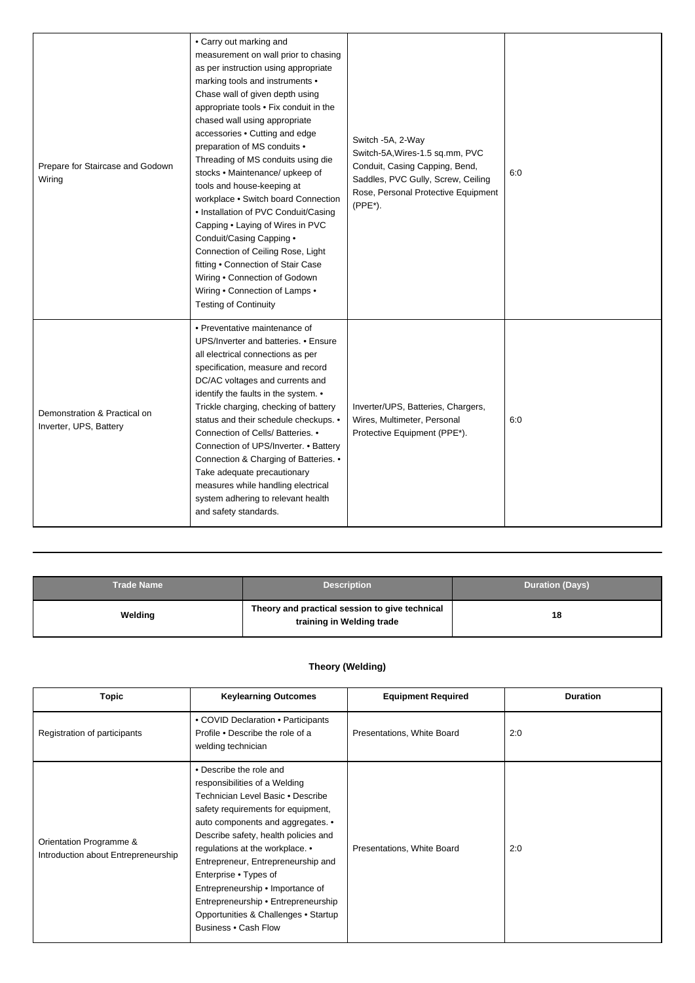| Prepare for Staircase and Godown<br>Wiring             | • Carry out marking and<br>measurement on wall prior to chasing<br>as per instruction using appropriate<br>marking tools and instruments •<br>Chase wall of given depth using<br>appropriate tools . Fix conduit in the<br>chased wall using appropriate<br>accessories . Cutting and edge<br>preparation of MS conduits •<br>Threading of MS conduits using die<br>stocks • Maintenance/ upkeep of<br>tools and house-keeping at<br>workplace . Switch board Connection<br>• Installation of PVC Conduit/Casing<br>Capping • Laying of Wires in PVC<br>Conduit/Casing Capping .<br>Connection of Ceiling Rose, Light<br>fitting . Connection of Stair Case<br>Wiring • Connection of Godown<br>Wiring . Connection of Lamps .<br><b>Testing of Continuity</b> | Switch -5A, 2-Way<br>Switch-5A, Wires-1.5 sq.mm, PVC<br>Conduit, Casing Capping, Bend,<br>Saddles, PVC Gully, Screw, Ceiling<br>Rose, Personal Protective Equipment<br>$(PPE*)$ . | 6:0 |
|--------------------------------------------------------|----------------------------------------------------------------------------------------------------------------------------------------------------------------------------------------------------------------------------------------------------------------------------------------------------------------------------------------------------------------------------------------------------------------------------------------------------------------------------------------------------------------------------------------------------------------------------------------------------------------------------------------------------------------------------------------------------------------------------------------------------------------|-----------------------------------------------------------------------------------------------------------------------------------------------------------------------------------|-----|
| Demonstration & Practical on<br>Inverter, UPS, Battery | • Preventative maintenance of<br>UPS/Inverter and batteries. • Ensure<br>all electrical connections as per<br>specification, measure and record<br>DC/AC voltages and currents and<br>identify the faults in the system. •<br>Trickle charging, checking of battery<br>status and their schedule checkups. •<br>Connection of Cells/ Batteries. •<br>Connection of UPS/Inverter. • Battery<br>Connection & Charging of Batteries. .<br>Take adequate precautionary<br>measures while handling electrical<br>system adhering to relevant health<br>and safety standards.                                                                                                                                                                                        | Inverter/UPS, Batteries, Chargers,<br>Wires, Multimeter, Personal<br>Protective Equipment (PPE*).                                                                                 | 6:0 |

| <b>Trade Name</b> | <b>Description</b>                                                          | <b>Duration (Days)</b> |
|-------------------|-----------------------------------------------------------------------------|------------------------|
| Welding           | Theory and practical session to give technical<br>training in Welding trade | 18                     |

#### **Theory (Welding)**

| Topic                                                          | <b>Keylearning Outcomes</b>                                                                                                                                                                                                                                                                                                                                                                                                                                   | <b>Equipment Required</b>  | <b>Duration</b> |
|----------------------------------------------------------------|---------------------------------------------------------------------------------------------------------------------------------------------------------------------------------------------------------------------------------------------------------------------------------------------------------------------------------------------------------------------------------------------------------------------------------------------------------------|----------------------------|-----------------|
| Registration of participants                                   | • COVID Declaration • Participants<br>Profile • Describe the role of a<br>welding technician                                                                                                                                                                                                                                                                                                                                                                  | Presentations, White Board | 2:0             |
| Orientation Programme &<br>Introduction about Entrepreneurship | • Describe the role and<br>responsibilities of a Welding<br>Technician Level Basic • Describe<br>safety requirements for equipment,<br>auto components and aggregates. •<br>Describe safety, health policies and<br>regulations at the workplace. •<br>Entrepreneur, Entrepreneurship and<br>Enterprise • Types of<br>Entrepreneurship • Importance of<br>Entrepreneurship • Entrepreneurship<br>Opportunities & Challenges • Startup<br>Business • Cash Flow | Presentations, White Board | 2:0             |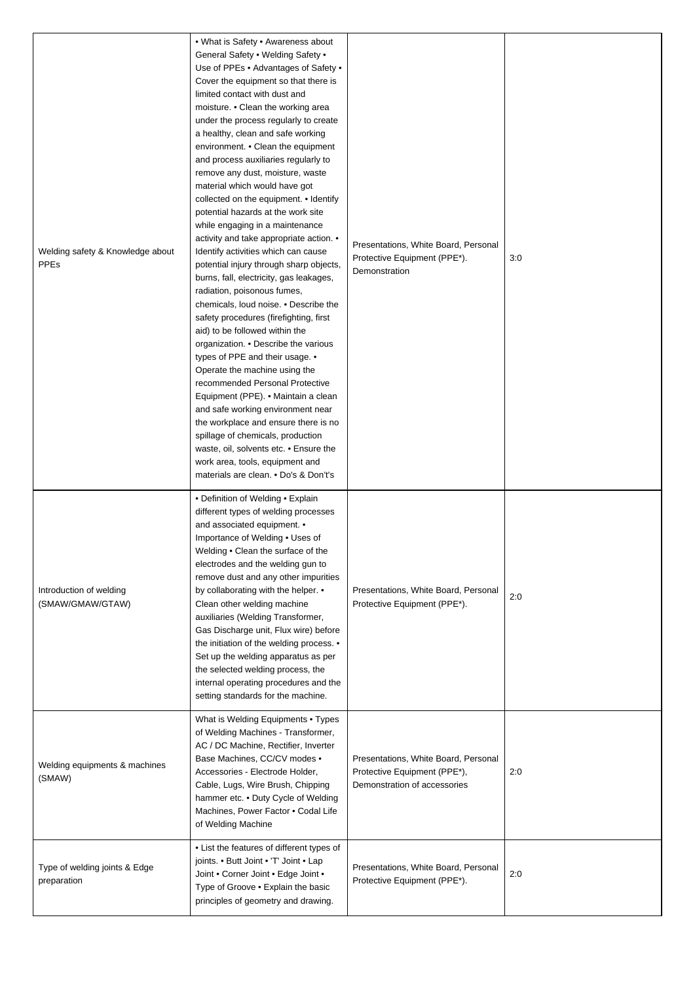| Welding safety & Knowledge about<br><b>PPEs</b> | • What is Safety • Awareness about<br>General Safety . Welding Safety .<br>Use of PPEs • Advantages of Safety •<br>Cover the equipment so that there is<br>limited contact with dust and<br>moisture. • Clean the working area<br>under the process regularly to create<br>a healthy, clean and safe working<br>environment. • Clean the equipment<br>and process auxiliaries regularly to<br>remove any dust, moisture, waste<br>material which would have got<br>collected on the equipment. • Identify<br>potential hazards at the work site<br>while engaging in a maintenance<br>activity and take appropriate action. •<br>Identify activities which can cause<br>potential injury through sharp objects,<br>burns, fall, electricity, gas leakages,<br>radiation, poisonous fumes,<br>chemicals, loud noise. • Describe the<br>safety procedures (firefighting, first<br>aid) to be followed within the<br>organization. • Describe the various<br>types of PPE and their usage. •<br>Operate the machine using the<br>recommended Personal Protective<br>Equipment (PPE). • Maintain a clean<br>and safe working environment near<br>the workplace and ensure there is no<br>spillage of chemicals, production<br>waste, oil, solvents etc. • Ensure the<br>work area, tools, equipment and<br>materials are clean. • Do's & Don't's | Presentations, White Board, Personal<br>Protective Equipment (PPE*).<br>Demonstration                | 3:0 |
|-------------------------------------------------|----------------------------------------------------------------------------------------------------------------------------------------------------------------------------------------------------------------------------------------------------------------------------------------------------------------------------------------------------------------------------------------------------------------------------------------------------------------------------------------------------------------------------------------------------------------------------------------------------------------------------------------------------------------------------------------------------------------------------------------------------------------------------------------------------------------------------------------------------------------------------------------------------------------------------------------------------------------------------------------------------------------------------------------------------------------------------------------------------------------------------------------------------------------------------------------------------------------------------------------------------------------------------------------------------------------------------------------------|------------------------------------------------------------------------------------------------------|-----|
| Introduction of welding<br>(SMAW/GMAW/GTAW)     | • Definition of Welding • Explain<br>different types of welding processes<br>and associated equipment. •<br>Importance of Welding . Uses of<br>Welding • Clean the surface of the<br>electrodes and the welding gun to<br>remove dust and any other impurities<br>by collaborating with the helper. •<br>Clean other welding machine<br>auxiliaries (Welding Transformer,<br>Gas Discharge unit, Flux wire) before<br>the initiation of the welding process. •<br>Set up the welding apparatus as per<br>the selected welding process, the<br>internal operating procedures and the<br>setting standards for the machine.                                                                                                                                                                                                                                                                                                                                                                                                                                                                                                                                                                                                                                                                                                                    | Presentations, White Board, Personal<br>Protective Equipment (PPE*).                                 | 2:0 |
| Welding equipments & machines<br>(SMAW)         | What is Welding Equipments • Types<br>of Welding Machines - Transformer,<br>AC / DC Machine, Rectifier, Inverter<br>Base Machines, CC/CV modes .<br>Accessories - Electrode Holder,<br>Cable, Lugs, Wire Brush, Chipping<br>hammer etc. • Duty Cycle of Welding<br>Machines, Power Factor . Codal Life<br>of Welding Machine                                                                                                                                                                                                                                                                                                                                                                                                                                                                                                                                                                                                                                                                                                                                                                                                                                                                                                                                                                                                                 | Presentations, White Board, Personal<br>Protective Equipment (PPE*),<br>Demonstration of accessories | 2:0 |
| Type of welding joints & Edge<br>preparation    | • List the features of different types of<br>joints. • Butt Joint • 'T' Joint • Lap<br>Joint . Corner Joint . Edge Joint .<br>Type of Groove . Explain the basic<br>principles of geometry and drawing.                                                                                                                                                                                                                                                                                                                                                                                                                                                                                                                                                                                                                                                                                                                                                                                                                                                                                                                                                                                                                                                                                                                                      | Presentations, White Board, Personal<br>Protective Equipment (PPE*).                                 | 2:0 |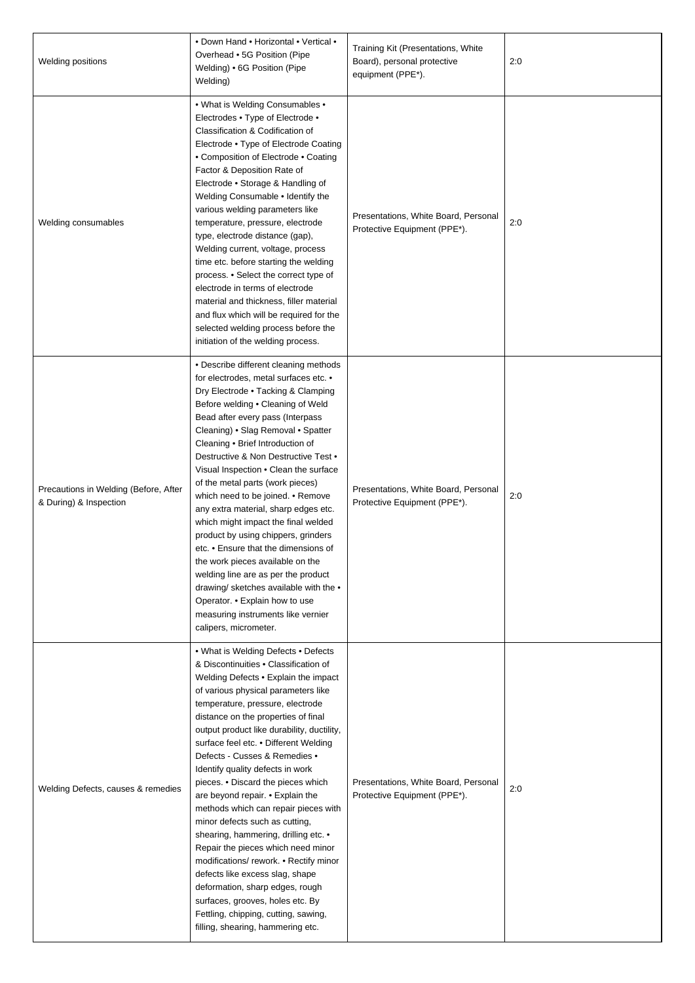| Welding positions                                               | • Down Hand • Horizontal • Vertical •<br>Overhead • 5G Position (Pipe<br>Welding) • 6G Position (Pipe<br>Welding)                                                                                                                                                                                                                                                                                                                                                                                                                                                                                                                                                                                                                                                                                                                                                    | Training Kit (Presentations, White<br>Board), personal protective<br>equipment (PPE*). | 2:0 |
|-----------------------------------------------------------------|----------------------------------------------------------------------------------------------------------------------------------------------------------------------------------------------------------------------------------------------------------------------------------------------------------------------------------------------------------------------------------------------------------------------------------------------------------------------------------------------------------------------------------------------------------------------------------------------------------------------------------------------------------------------------------------------------------------------------------------------------------------------------------------------------------------------------------------------------------------------|----------------------------------------------------------------------------------------|-----|
| Welding consumables                                             | • What is Welding Consumables •<br>Electrodes • Type of Electrode •<br>Classification & Codification of<br>Electrode • Type of Electrode Coating<br>• Composition of Electrode • Coating<br>Factor & Deposition Rate of<br>Electrode . Storage & Handling of<br>Welding Consumable . Identify the<br>various welding parameters like<br>temperature, pressure, electrode<br>type, electrode distance (gap),<br>Welding current, voltage, process<br>time etc. before starting the welding<br>process. • Select the correct type of<br>electrode in terms of electrode<br>material and thickness, filler material<br>and flux which will be required for the<br>selected welding process before the<br>initiation of the welding process.                                                                                                                             | Presentations, White Board, Personal<br>Protective Equipment (PPE*).                   | 2:0 |
| Precautions in Welding (Before, After<br>& During) & Inspection | • Describe different cleaning methods<br>for electrodes, metal surfaces etc. •<br>Dry Electrode . Tacking & Clamping<br>Before welding . Cleaning of Weld<br>Bead after every pass (Interpass<br>Cleaning) • Slag Removal • Spatter<br>Cleaning • Brief Introduction of<br>Destructive & Non Destructive Test .<br>Visual Inspection . Clean the surface<br>of the metal parts (work pieces)<br>which need to be joined. • Remove<br>any extra material, sharp edges etc.<br>which might impact the final welded<br>product by using chippers, grinders<br>etc. • Ensure that the dimensions of<br>the work pieces available on the<br>welding line are as per the product<br>drawing/ sketches available with the •<br>Operator. • Explain how to use<br>measuring instruments like vernier<br>calipers, micrometer.                                                | Presentations, White Board, Personal<br>Protective Equipment (PPE*).                   | 2:0 |
| Welding Defects, causes & remedies                              | . What is Welding Defects . Defects<br>& Discontinuities . Classification of<br>Welding Defects . Explain the impact<br>of various physical parameters like<br>temperature, pressure, electrode<br>distance on the properties of final<br>output product like durability, ductility,<br>surface feel etc. • Different Welding<br>Defects - Cusses & Remedies •<br>Identify quality defects in work<br>pieces. • Discard the pieces which<br>are beyond repair. • Explain the<br>methods which can repair pieces with<br>minor defects such as cutting,<br>shearing, hammering, drilling etc. •<br>Repair the pieces which need minor<br>modifications/rework. • Rectify minor<br>defects like excess slag, shape<br>deformation, sharp edges, rough<br>surfaces, grooves, holes etc. By<br>Fettling, chipping, cutting, sawing,<br>filling, shearing, hammering etc. | Presentations, White Board, Personal<br>Protective Equipment (PPE*).                   | 2:0 |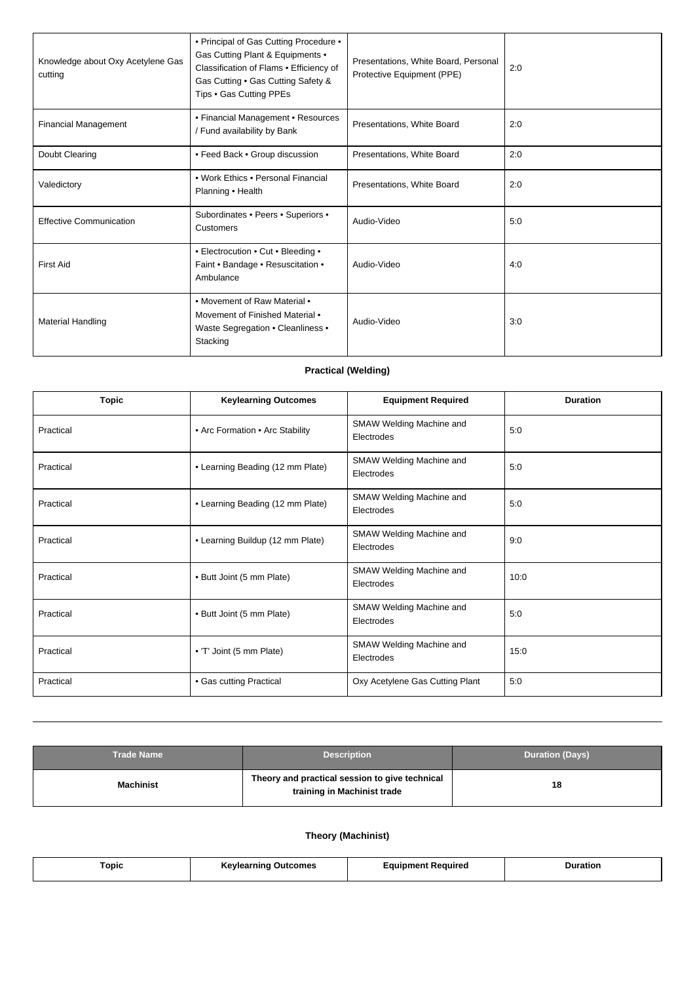| Knowledge about Oxy Acetylene Gas<br>cutting | • Principal of Gas Cutting Procedure •<br>Gas Cutting Plant & Equipments .<br>Classification of Flams . Efficiency of<br>Gas Cutting . Gas Cutting Safety &<br>Tips • Gas Cutting PPEs | Presentations, White Board, Personal<br>Protective Equipment (PPE) | 2:0 |
|----------------------------------------------|----------------------------------------------------------------------------------------------------------------------------------------------------------------------------------------|--------------------------------------------------------------------|-----|
| <b>Financial Management</b>                  | • Financial Management • Resources<br>/ Fund availability by Bank                                                                                                                      | Presentations, White Board                                         | 2:0 |
| Doubt Clearing                               | • Feed Back • Group discussion                                                                                                                                                         | Presentations, White Board                                         | 2:0 |
| Valedictory                                  | • Work Ethics • Personal Financial<br>Planning • Health                                                                                                                                | Presentations, White Board                                         | 2:0 |
| <b>Effective Communication</b>               | Subordinates . Peers . Superiors .<br>Customers                                                                                                                                        | Audio-Video                                                        | 5:0 |
| <b>First Aid</b>                             | • Electrocution • Cut • Bleeding •<br>Faint • Bandage • Resuscitation •<br>Ambulance                                                                                                   | Audio-Video                                                        | 4:0 |
| <b>Material Handling</b>                     | • Movement of Raw Material •<br>Movement of Finished Material •<br>Waste Segregation • Cleanliness •<br>Stacking                                                                       | Audio-Video                                                        | 3:0 |

## **Practical (Welding)**

| <b>Topic</b> | <b>Keylearning Outcomes</b>      | <b>Equipment Required</b>              | <b>Duration</b> |
|--------------|----------------------------------|----------------------------------------|-----------------|
| Practical    | • Arc Formation • Arc Stability  | SMAW Welding Machine and<br>Electrodes | 5:0             |
| Practical    | • Learning Beading (12 mm Plate) | SMAW Welding Machine and<br>Electrodes | 5:0             |
| Practical    | • Learning Beading (12 mm Plate) | SMAW Welding Machine and<br>Electrodes | 5:0             |
| Practical    | • Learning Buildup (12 mm Plate) | SMAW Welding Machine and<br>Electrodes | 9:0             |
| Practical    | • Butt Joint (5 mm Plate)        | SMAW Welding Machine and<br>Electrodes | 10:0            |
| Practical    | • Butt Joint (5 mm Plate)        | SMAW Welding Machine and<br>Electrodes | 5:0             |
| Practical    | • 'T' Joint (5 mm Plate)         | SMAW Welding Machine and<br>Electrodes | 15:0            |
| Practical    | • Gas cutting Practical          | Oxy Acetylene Gas Cutting Plant        | 5:0             |

| <b>Trade Name</b> | <b>Description</b>                                                            | <b>Duration (Days)</b> |
|-------------------|-------------------------------------------------------------------------------|------------------------|
| <b>Machinist</b>  | Theory and practical session to give technical<br>training in Machinist trade | 18                     |

## **Theory (Machinist)**

| $\overline{\phantom{a}}$<br>Topic | ົ°າrninu .<br><b>Outcomes</b><br>۱٬۱۵ | nuirec | ано |
|-----------------------------------|---------------------------------------|--------|-----|
|-----------------------------------|---------------------------------------|--------|-----|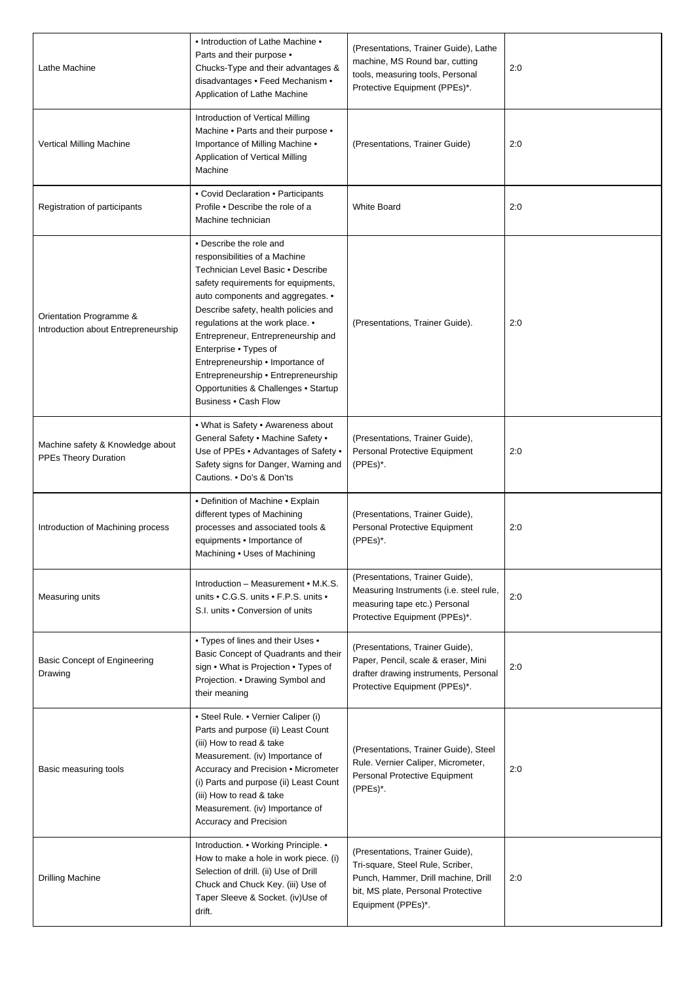| Lathe Machine                                                   | • Introduction of Lathe Machine •<br>Parts and their purpose •<br>Chucks-Type and their advantages &<br>disadvantages . Feed Mechanism .<br>Application of Lathe Machine                                                                                                                                                                                                                                                                                        | (Presentations, Trainer Guide), Lathe<br>machine, MS Round bar, cutting<br>tools, measuring tools, Personal<br>Protective Equipment (PPEs)*.                           | 2:0 |
|-----------------------------------------------------------------|-----------------------------------------------------------------------------------------------------------------------------------------------------------------------------------------------------------------------------------------------------------------------------------------------------------------------------------------------------------------------------------------------------------------------------------------------------------------|------------------------------------------------------------------------------------------------------------------------------------------------------------------------|-----|
| Vertical Milling Machine                                        | Introduction of Vertical Milling<br>Machine . Parts and their purpose .<br>Importance of Milling Machine .<br>Application of Vertical Milling<br>Machine                                                                                                                                                                                                                                                                                                        | (Presentations, Trainer Guide)                                                                                                                                         | 2:0 |
| Registration of participants                                    | • Covid Declaration • Participants<br>Profile • Describe the role of a<br>Machine technician                                                                                                                                                                                                                                                                                                                                                                    | <b>White Board</b>                                                                                                                                                     | 2:0 |
| Orientation Programme &<br>Introduction about Entrepreneurship  | • Describe the role and<br>responsibilities of a Machine<br>Technician Level Basic • Describe<br>safety requirements for equipments,<br>auto components and aggregates. •<br>Describe safety, health policies and<br>regulations at the work place. •<br>Entrepreneur, Entrepreneurship and<br>Enterprise . Types of<br>Entrepreneurship • Importance of<br>Entrepreneurship • Entrepreneurship<br>Opportunities & Challenges . Startup<br>Business . Cash Flow | (Presentations, Trainer Guide).                                                                                                                                        | 2:0 |
| Machine safety & Knowledge about<br><b>PPEs Theory Duration</b> | • What is Safety • Awareness about<br>General Safety • Machine Safety •<br>Use of PPEs . Advantages of Safety .<br>Safety signs for Danger, Warning and<br>Cautions. • Do's & Don'ts                                                                                                                                                                                                                                                                            | (Presentations, Trainer Guide),<br>Personal Protective Equipment<br>(PPEs)*.                                                                                           | 2:0 |
| Introduction of Machining process                               | • Definition of Machine • Explain<br>different types of Machining<br>processes and associated tools &<br>equipments • Importance of<br>Machining . Uses of Machining                                                                                                                                                                                                                                                                                            | (Presentations, Trainer Guide),<br>Personal Protective Equipment<br>(PPEs)*.                                                                                           | 2:0 |
| Measuring units                                                 | Introduction - Measurement • M.K.S.<br>units • C.G.S. units • F.P.S. units •<br>S.I. units . Conversion of units                                                                                                                                                                                                                                                                                                                                                | (Presentations, Trainer Guide),<br>Measuring Instruments (i.e. steel rule,<br>measuring tape etc.) Personal<br>Protective Equipment (PPEs)*.                           | 2:0 |
| <b>Basic Concept of Engineering</b><br>Drawing                  | • Types of lines and their Uses •<br>Basic Concept of Quadrants and their<br>sign . What is Projection . Types of<br>Projection. . Drawing Symbol and<br>their meaning                                                                                                                                                                                                                                                                                          | (Presentations, Trainer Guide),<br>Paper, Pencil, scale & eraser, Mini<br>drafter drawing instruments, Personal<br>Protective Equipment (PPEs)*.                       | 2:0 |
| Basic measuring tools                                           | • Steel Rule. • Vernier Caliper (i)<br>Parts and purpose (ii) Least Count<br>(iii) How to read & take<br>Measurement. (iv) Importance of<br>Accuracy and Precision . Micrometer<br>(i) Parts and purpose (ii) Least Count<br>(iii) How to read & take<br>Measurement. (iv) Importance of<br>Accuracy and Precision                                                                                                                                              | (Presentations, Trainer Guide), Steel<br>Rule. Vernier Caliper, Micrometer,<br>Personal Protective Equipment<br>(PPEs)*.                                               | 2:0 |
| <b>Drilling Machine</b>                                         | Introduction. . Working Principle. .<br>How to make a hole in work piece. (i)<br>Selection of drill. (ii) Use of Drill<br>Chuck and Chuck Key. (iii) Use of<br>Taper Sleeve & Socket. (iv)Use of<br>drift.                                                                                                                                                                                                                                                      | (Presentations, Trainer Guide),<br>Tri-square, Steel Rule, Scriber,<br>Punch, Hammer, Drill machine, Drill<br>bit, MS plate, Personal Protective<br>Equipment (PPEs)*. | 2:0 |